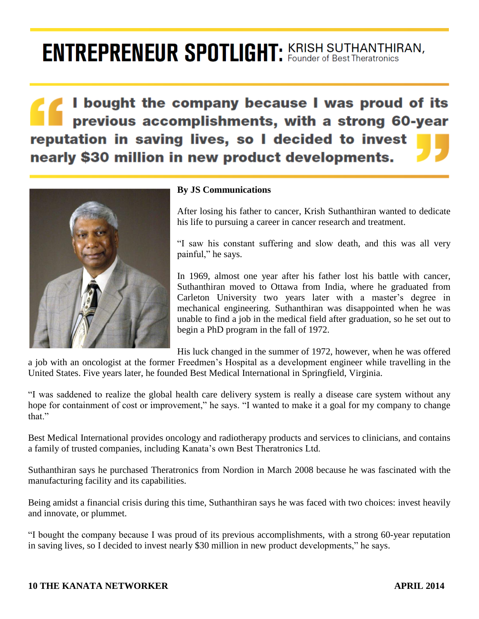## **ENTREPRENEUR SPOTLIGHT: KRISH SUTHANTHIRAN,**

I bought the company because I was proud of its previous accomplishments, with a strong 60-year reputation in saving lives, so I decided to invest nearly \$30 million in new product developments.



## **By JS Communications**

After losing his father to cancer, Krish Suthanthiran wanted to dedicate his life to pursuing a career in cancer research and treatment.

"I saw his constant suffering and slow death, and this was all very painful," he says.

In 1969, almost one year after his father lost his battle with cancer, Suthanthiran moved to Ottawa from India, where he graduated from Carleton University two years later with a master's degree in mechanical engineering. Suthanthiran was disappointed when he was unable to find a job in the medical field after graduation, so he set out to begin a PhD program in the fall of 1972.

His luck changed in the summer of 1972, however, when he was offered a job with an oncologist at the former Freedmen's Hospital as a development engineer while travelling in the United States. Five years later, he founded Best Medical International in Springfield, Virginia.

"I was saddened to realize the global health care delivery system is really a disease care system without any hope for containment of cost or improvement," he says. "I wanted to make it a goal for my company to change that"

Best Medical International provides oncology and radiotherapy products and services to clinicians, and contains a family of trusted companies, including Kanata's own Best Theratronics Ltd.

Suthanthiran says he purchased Theratronics from Nordion in March 2008 because he was fascinated with the manufacturing facility and its capabilities.

Being amidst a financial crisis during this time, Suthanthiran says he was faced with two choices: invest heavily and innovate, or plummet.

"I bought the company because I was proud of its previous accomplishments, with a strong 60-year reputation in saving lives, so I decided to invest nearly \$30 million in new product developments," he says.